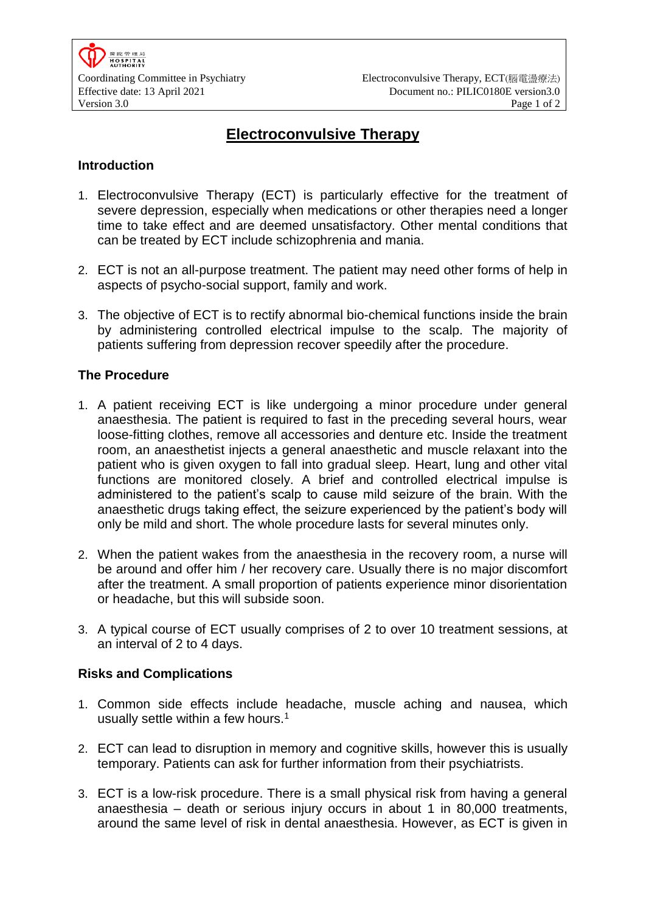# **Electroconvulsive Therapy**

## **Introduction**

- 1. Electroconvulsive Therapy (ECT) is particularly effective for the treatment of severe depression, especially when medications or other therapies need a longer time to take effect and are deemed unsatisfactory. Other mental conditions that can be treated by ECT include schizophrenia and mania.
- 2. ECT is not an all-purpose treatment. The patient may need other forms of help in aspects of psycho-social support, family and work.
- 3. The objective of ECT is to rectify abnormal bio-chemical functions inside the brain by administering controlled electrical impulse to the scalp. The majority of patients suffering from depression recover speedily after the procedure.

### **The Procedure**

- 1. A patient receiving ECT is like undergoing a minor procedure under general anaesthesia. The patient is required to fast in the preceding several hours, wear loose-fitting clothes, remove all accessories and denture etc. Inside the treatment room, an anaesthetist injects a general anaesthetic and muscle relaxant into the patient who is given oxygen to fall into gradual sleep. Heart, lung and other vital functions are monitored closely. A brief and controlled electrical impulse is administered to the patient's scalp to cause mild seizure of the brain. With the anaesthetic drugs taking effect, the seizure experienced by the patient's body will only be mild and short. The whole procedure lasts for several minutes only.
- 2. When the patient wakes from the anaesthesia in the recovery room, a nurse will be around and offer him / her recovery care. Usually there is no major discomfort after the treatment. A small proportion of patients experience minor disorientation or headache, but this will subside soon.
- 3. A typical course of ECT usually comprises of 2 to over 10 treatment sessions, at an interval of 2 to 4 days.

#### **Risks and Complications**

- 1. Common side effects include headache, muscle aching and nausea, which usually settle within a few hours.<sup>[1](#page-1-0)</sup>
- 2. ECT can lead to disruption in memory and cognitive skills, however this is usually temporary. Patients can ask for further information from their psychiatrists.
- 3. ECT is a low-risk procedure. There is a small physical risk from having a general anaesthesia – death or serious injury occurs in about 1 in 80,000 treatments, around the same level of risk in dental anaesthesia. However, as ECT is given in